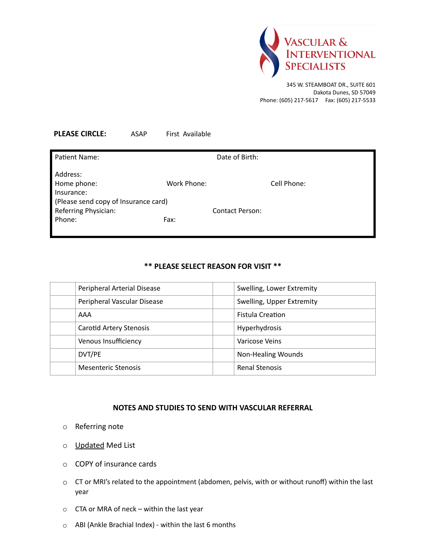

345 W. STEAMBOAT DR., SUITE 601 Dakota Dunes, SD 57049 Phone: (605) 217-5617 Fax: (605) 217-5533

| <b>PLEASE CIRCLE:</b> | ASAP | First Available |
|-----------------------|------|-----------------|

| Patient Name:                         | Date of Birth:         |             |  |  |
|---------------------------------------|------------------------|-------------|--|--|
| Address:<br>Home phone:<br>Insurance: | Work Phone:            | Cell Phone: |  |  |
|                                       |                        |             |  |  |
| (Please send copy of Insurance card)  |                        |             |  |  |
| Referring Physician:                  | <b>Contact Person:</b> |             |  |  |
| Phone:                                | Fax:                   |             |  |  |
|                                       |                        |             |  |  |

## **\*\* PLEASE SELECT REASON FOR VISIT \*\***

| Peripheral Arterial Disease    | Swelling, Lower Extremity |
|--------------------------------|---------------------------|
| Peripheral Vascular Disease    | Swelling, Upper Extremity |
| AAA                            | <b>Fistula Creation</b>   |
| <b>Carotid Artery Stenosis</b> | Hyperhydrosis             |
| Venous Insufficiency           | Varicose Veins            |
| DVT/PE                         | <b>Non-Healing Wounds</b> |
| <b>Mesenteric Stenosis</b>     | <b>Renal Stenosis</b>     |

## **NOTES AND STUDIES TO SEND WITH VASCULAR REFERRAL**

- o Referring note
- o Updated Med List
- o COPY of insurance cards
- o CT or MRI's related to the appointment (abdomen, pelvis, with or without runoff) within the last year
- $\circ$  CTA or MRA of neck within the last year
- o ABI (Ankle Brachial Index) within the last 6 months